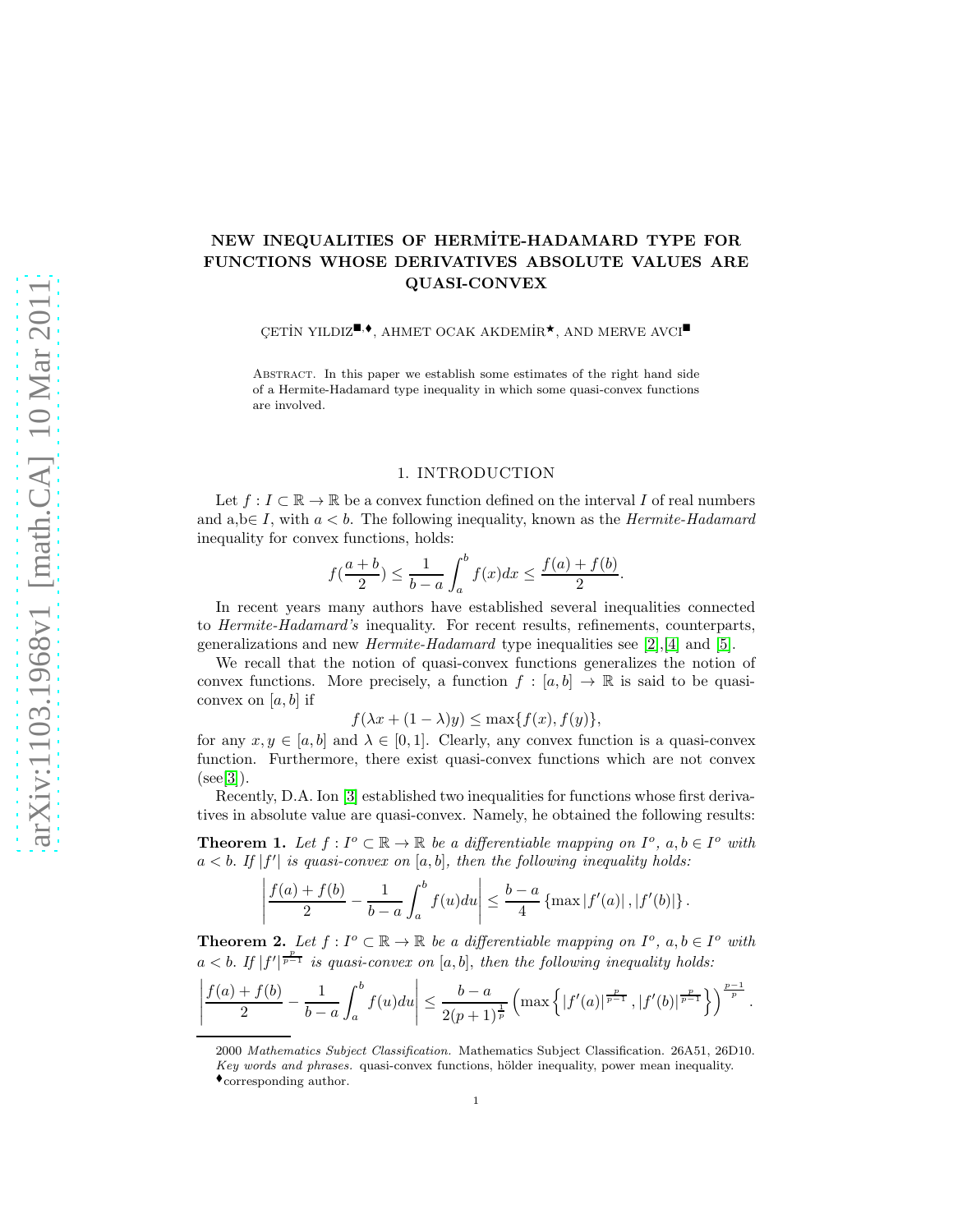## NEW INEQUALITIES OF HERMİTE-HADAMARD TYPE FOR FUNCTIONS WHOSE DERIVATIVES ABSOLUTE VALUES ARE QUASI-CONVEX

CETIN YILDIZ<sup> $\blacksquare, \blacklozenge$ </sup>, AHMET OCAK AKDEMİR<sup>\*</sup>, AND MERVE AVCI $\blacksquare$ 

Abstract. In this paper we establish some estimates of the right hand side of a Hermite-Hadamard type inequality in which some quasi-convex functions are involved.

## 1. INTRODUCTION

Let  $f: I \subset \mathbb{R} \to \mathbb{R}$  be a convex function defined on the interval I of real numbers and  $a,b \in I$ , with  $a < b$ . The following inequality, known as the *Hermite-Hadamard* inequality for convex functions, holds:

$$
f(\frac{a+b}{2}) \le \frac{1}{b-a} \int_{a}^{b} f(x)dx \le \frac{f(a) + f(b)}{2}.
$$

In recent years many authors have established several inequalities connected to Hermite-Hadamard's inequality. For recent results, refinements, counterparts, generalizations and new *Hermite-Hadamard* type inequalities see [\[2\]](#page-4-0), [\[4\]](#page-4-1) and [\[5\]](#page-4-2).

We recall that the notion of quasi-convex functions generalizes the notion of convex functions. More precisely, a function  $f : [a, b] \to \mathbb{R}$  is said to be quasiconvex on  $[a, b]$  if

 $f(\lambda x + (1 - \lambda)y) \leq \max\{f(x), f(y)\},\$ 

for any  $x, y \in [a, b]$  and  $\lambda \in [0, 1]$ . Clearly, any convex function is a quasi-convex function. Furthermore, there exist quasi-convex functions which are not convex  $(see [3]).$  $(see [3]).$  $(see [3]).$ 

Recently, D.A. Ion [\[3\]](#page-4-3) established two inequalities for functions whose first derivatives in absolute value are quasi-convex. Namely, he obtained the following results:

**Theorem 1.** Let  $f: I^o \subset \mathbb{R} \to \mathbb{R}$  be a differentiable mapping on  $I^o$ ,  $a, b \in I^o$  with  $a < b$ . If  $|f'|$  is quasi-convex on  $[a, b]$ , then the following inequality holds:

$$
\left|\frac{f(a)+f(b)}{2}-\frac{1}{b-a}\int_{a}^{b}f(u)du\right|\leq \frac{b-a}{4}\left\{\max|f'(a)|,|f'(b)|\right\}.
$$

**Theorem 2.** Let  $f: I^o \subset \mathbb{R} \to \mathbb{R}$  be a differentiable mapping on  $I^o$ ,  $a, b \in I^o$  with  $a < b$ . If  $|f'|^{\frac{p}{p-1}}$  is quasi-convex on  $[a, b]$ , then the following inequality holds:

$$
\left|\frac{f(a)+f(b)}{2}-\frac{1}{b-a}\int_{a}^{b}f(u)du\right|\leq\frac{b-a}{2(p+1)^{\frac{1}{p}}}\left(\max\left\{|f'(a)|^{\frac{p}{p-1}},|f'(b)|^{\frac{p}{p-1}}\right\}\right)^{\frac{p-1}{p}}
$$

.

<sup>2000</sup> Mathematics Subject Classification. Mathematics Subject Classification. 26A51, 26D10. Key words and phrases. quasi-convex functions, hölder inequality, power mean inequality.

 $\bullet$  corresponding author.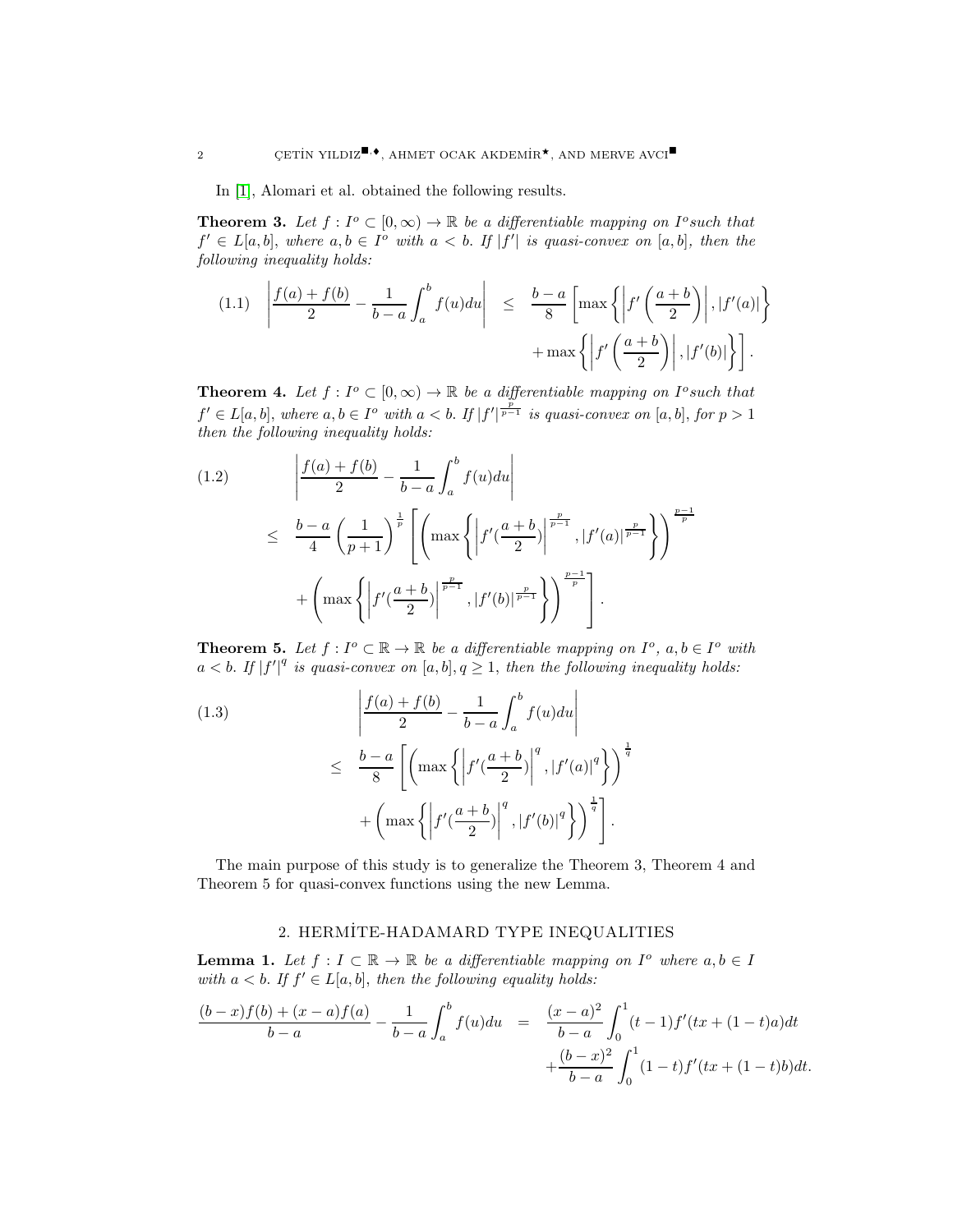In [\[1\]](#page-4-4), Alomari et al. obtained the following results.

**Theorem 3.** Let  $f: I^o \subset [0, \infty) \to \mathbb{R}$  be a differentiable mapping on  $I^o$  such that  $f' \in L[a, b],$  where  $a, b \in I^{\circ}$  with  $a < b$ . If  $|f'|$  is quasi-convex on  $[a, b],$  then the following inequality holds:

<span id="page-1-0"></span>
$$
(1.1) \quad \left| \frac{f(a) + f(b)}{2} - \frac{1}{b-a} \int_a^b f(u) du \right| \leq \frac{b-a}{8} \left[ \max \left\{ \left| f' \left( \frac{a+b}{2} \right) \right|, \left| f'(a) \right| \right\} + \max \left\{ \left| f' \left( \frac{a+b}{2} \right) \right|, \left| f'(b) \right| \right\} \right].
$$

**Theorem 4.** Let  $f: I^o \subset [0, \infty) \to \mathbb{R}$  be a differentiable mapping on  $I^o$  such that  $f' \in L[a, b],$  where  $a, b \in I^o$  with  $a < b$ . If  $|f'|^{\frac{p}{p-1}}$  is quasi-convex on  $[a, b],$  for  $p > 1$ then the following inequality holds:

<span id="page-1-1"></span>(1.2) 
$$
\left| \frac{f(a) + f(b)}{2} - \frac{1}{b - a} \int_{a}^{b} f(u) du \right|
$$
  
\n
$$
\leq \frac{b - a}{4} \left( \frac{1}{p + 1} \right)^{\frac{1}{p}} \left[ \left( \max \left\{ \left| f'(\frac{a + b}{2}) \right|^{\frac{p}{p - 1}}, |f'(a)|^{\frac{p}{p - 1}} \right\} \right)^{\frac{p - 1}{p}}
$$
  
\n
$$
+ \left( \max \left\{ \left| f'(\frac{a + b}{2}) \right|^{\frac{p}{p - 1}}, |f'(b)|^{\frac{p}{p - 1}} \right\} \right)^{\frac{p - 1}{p}} \right].
$$

**Theorem 5.** Let  $f: I^o \subset \mathbb{R} \to \mathbb{R}$  be a differentiable mapping on  $I^o$ ,  $a, b \in I^o$  with  $a < b$ . If  $|f'|^q$  is quasi-convex on  $[a, b], q \geq 1$ , then the following inequality holds:

<span id="page-1-2"></span>(1.3)  

$$
\left| \frac{f(a) + f(b)}{2} - \frac{1}{b-a} \int_a^b f(u) du \right|
$$

$$
\leq \frac{b-a}{8} \left[ \left( \max \left\{ \left| f'(\frac{a+b}{2}) \right|^q, \left| f'(a) \right|^q \right\} \right)^{\frac{1}{q}} + \left( \max \left\{ \left| f'(\frac{a+b}{2}) \right|^q, \left| f'(b) \right|^q \right\} \right)^{\frac{1}{q}} \right].
$$

The main purpose of this study is to generalize the Theorem 3, Theorem 4 and Theorem 5 for quasi-convex functions using the new Lemma.

## 2. HERM˙ITE-HADAMARD TYPE INEQUALITIES

**Lemma 1.** Let  $f: I \subset \mathbb{R} \to \mathbb{R}$  be a differentiable mapping on  $I^o$  where  $a, b \in I$ with  $a < b$ . If  $f \in L[a, b]$ , then the following equality holds:

$$
\frac{(b-x)f(b)+(x-a)f(a)}{b-a} - \frac{1}{b-a} \int_a^b f(u)du = \frac{(x-a)^2}{b-a} \int_0^1 (t-1)f'(tx+(1-t)a)dt + \frac{(b-x)^2}{b-a} \int_0^1 (1-t)f'(tx+(1-t)b)dt.
$$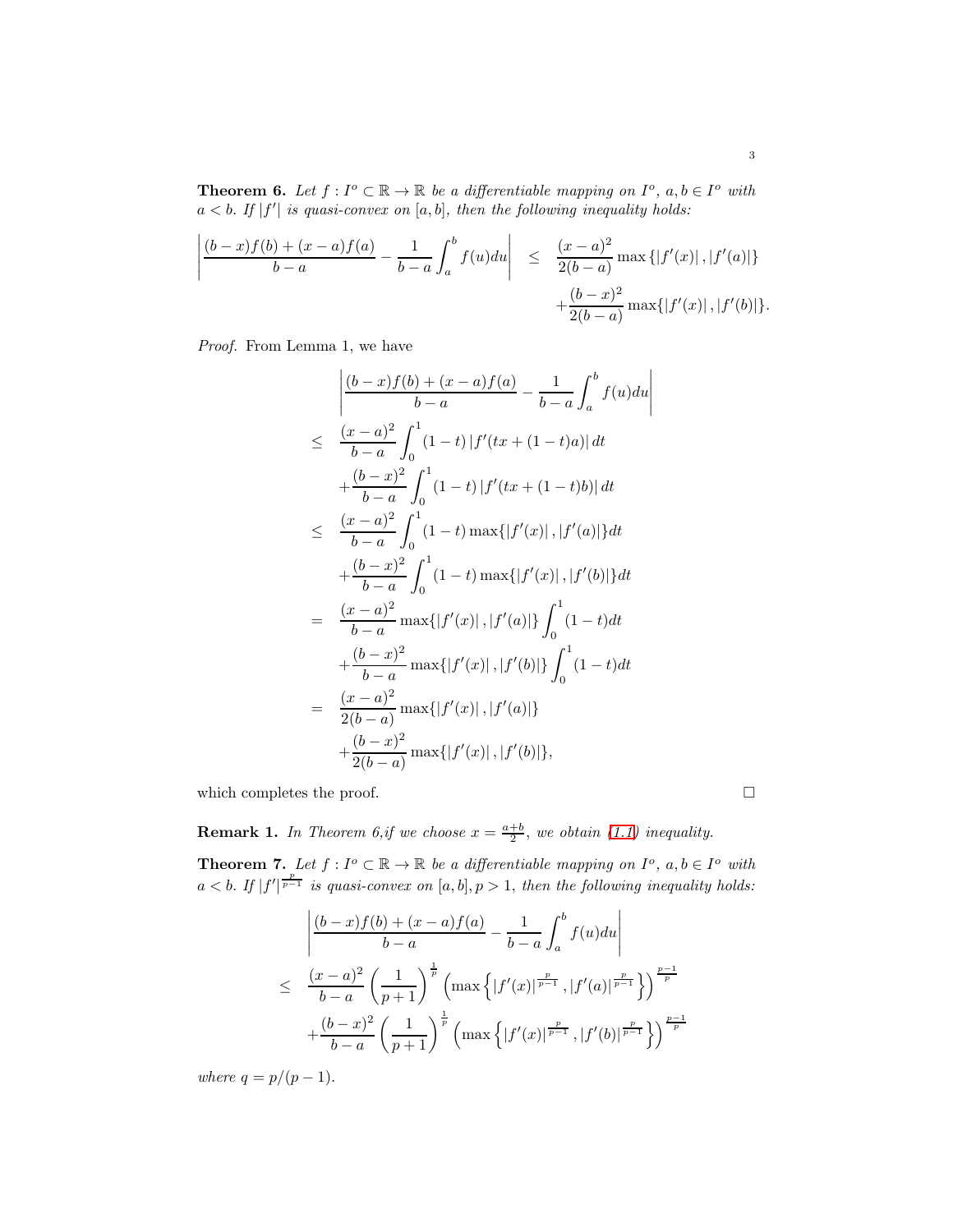**Theorem 6.** Let  $f: I^o \subset \mathbb{R} \to \mathbb{R}$  be a differentiable mapping on  $I^o$ ,  $a, b \in I^o$  with  $a < b$ . If  $|f'|$  is quasi-convex on  $[a, b]$ , then the following inequality holds:

$$
\left| \frac{(b-x)f(b)+(x-a)f(a)}{b-a} - \frac{1}{b-a} \int_a^b f(u) du \right| \leq \frac{(x-a)^2}{2(b-a)} \max \{|f'(x)|, |f'(a)|\} + \frac{(b-x)^2}{2(b-a)} \max \{|f'(x)|, |f'(b)|\}.
$$

Proof. From Lemma 1, we have

$$
\begin{split}\n&\left|\frac{(b-x)f(b)+(x-a)f(a)}{b-a}-\frac{1}{b-a}\int_{a}^{b}f(u)du\right| \\
&\leq \frac{(x-a)^{2}}{b-a}\int_{0}^{1}(1-t)|f'(tx+(1-t)a)| dt \\
&+\frac{(b-x)^{2}}{b-a}\int_{0}^{1}(1-t)|f'(tx+(1-t)b)| dt \\
&\leq \frac{(x-a)^{2}}{b-a}\int_{0}^{1}(1-t)\max\{|f'(x)|,|f'(a)|\}dt \\
&+\frac{(b-x)^{2}}{b-a}\int_{0}^{1}(1-t)\max\{|f'(x)|,|f'(b)|\}dt \\
&=\frac{(x-a)^{2}}{b-a}\max\{|f'(x)|,|f'(a)|\}\int_{0}^{1}(1-t)dt \\
&+\frac{(b-x)^{2}}{b-a}\max\{|f'(x)|,|f'(b)|\}\int_{0}^{1}(1-t)dt \\
&=\frac{(x-a)^{2}}{2(b-a)}\max\{|f'(x)|,|f'(a)|\} \\
&+\frac{(b-x)^{2}}{2(b-a)}\max\{|f'(x)|,|f'(b)|\}.\n\end{split}
$$

which completes the proof.  $\hfill \square$ 

**Remark 1.** In Theorem 6,if we choose  $x = \frac{a+b}{2}$ , we obtain [\(1.1\)](#page-1-0) inequality.

**Theorem 7.** Let  $f: I^o \subset \mathbb{R} \to \mathbb{R}$  be a differentiable mapping on  $I^o$ ,  $a, b \in I^o$  with  $a < b$ . If  $|f'|^{\frac{p}{p-1}}$  is quasi-convex on  $[a, b], p > 1$ , then the following inequality holds:

$$
\frac{\left| \frac{(b-x)f(b)+(x-a)f(a)}{b-a} - \frac{1}{b-a} \int_a^b f(u) du \right|}{\leq \frac{(x-a)^2}{b-a} \left(\frac{1}{p+1}\right)^{\frac{1}{p}} \left( \max \left\{ |f'(x)|^{\frac{p}{p-1}}, |f'(a)|^{\frac{p}{p-1}} \right\} \right)^{\frac{p-1}{p}}}
$$

$$
+ \frac{(b-x)^2}{b-a} \left( \frac{1}{p+1} \right)^{\frac{1}{p}} \left( \max \left\{ |f'(x)|^{\frac{p}{p-1}}, |f'(b)|^{\frac{p}{p-1}} \right\} \right)^{\frac{p-1}{p}}
$$

where  $q = p/(p-1)$ .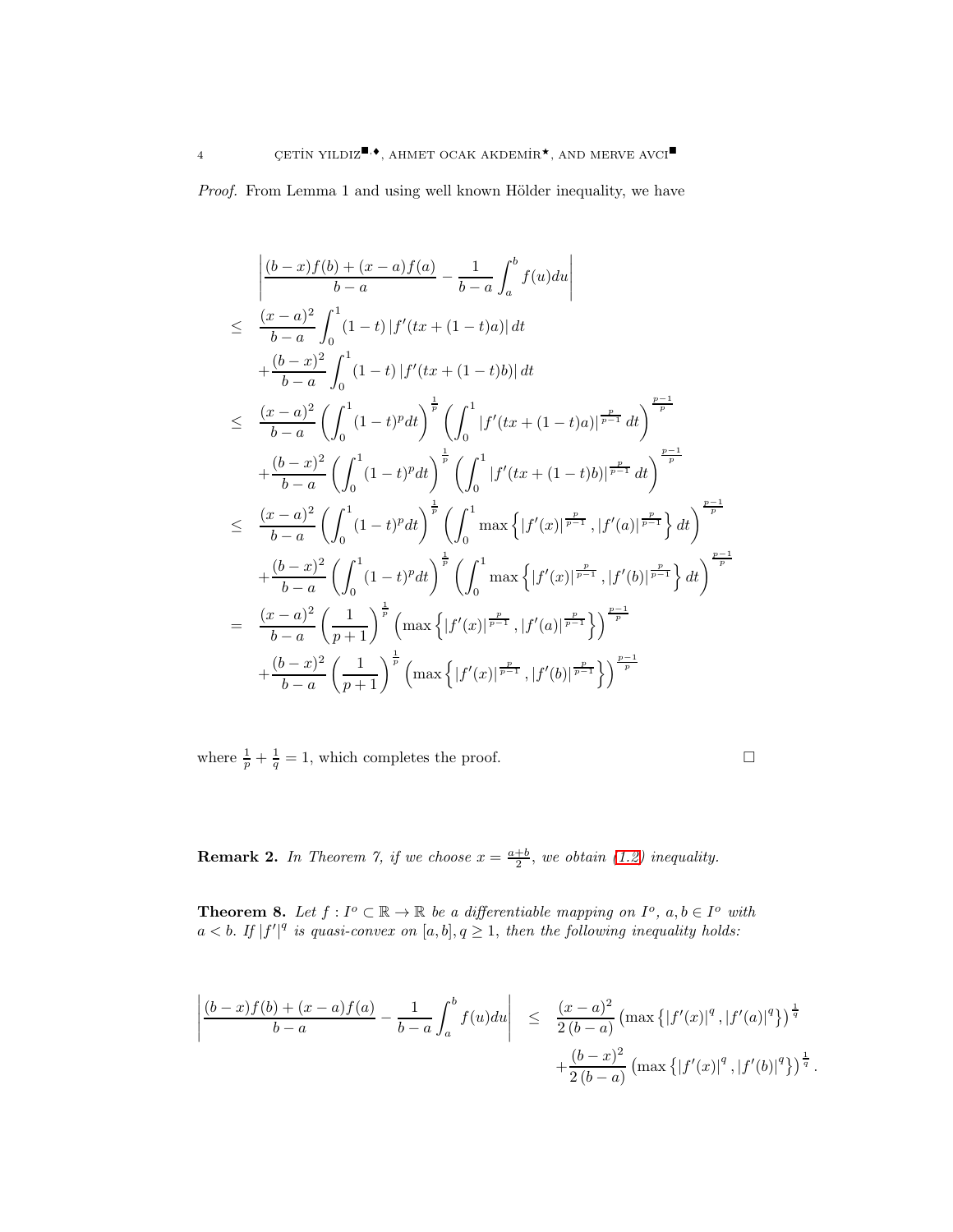*Proof.* From Lemma 1 and using well known Hölder inequality, we have

$$
\begin{split}\n&\left|\frac{(b-x)f(b)+(x-a)f(a)}{b-a}-\frac{1}{b-a}\int_{a}^{b}f(u)du\right| \\
&\leq \frac{(x-a)^{2}}{b-a}\int_{0}^{1}(1-t)\left|f'(tx+(1-t)a)\right|dt \\
&+\frac{(b-x)^{2}}{b-a}\int_{0}^{1}(1-t)\left|f'(tx+(1-t)b)\right|dt \\
&\leq \frac{(x-a)^{2}}{b-a}\left(\int_{0}^{1}(1-t)^{p}dt\right)^{\frac{1}{p}}\left(\int_{0}^{1}\left|f'(tx+(1-t)a)\right|^{\frac{p}{p-1}}dt\right)^{\frac{p-1}{p}} \\
&+\frac{(b-x)^{2}}{b-a}\left(\int_{0}^{1}(1-t)^{p}dt\right)^{\frac{1}{p}}\left(\int_{0}^{1}\left|f'(tx+(1-t)b)\right|^{\frac{p}{p-1}}dt\right)^{\frac{p-1}{p}} \\
&\leq \frac{(x-a)^{2}}{b-a}\left(\int_{0}^{1}(1-t)^{p}dt\right)^{\frac{1}{p}}\left(\int_{0}^{1}\max\left\{|f'(x)|^{\frac{p}{p-1}},|f'(a)|^{\frac{p}{p-1}}\right\}dt\right)^{\frac{p-1}{p}} \\
&+\frac{(b-x)^{2}}{b-a}\left(\int_{0}^{1}(1-t)^{p}dt\right)^{\frac{1}{p}}\left(\int_{0}^{1}\max\left\{|f'(x)|^{\frac{p}{p-1}},|f'(b)|^{\frac{p}{p-1}}\right\}dt\right)^{\frac{p-1}{p}} \\
&=\frac{(x-a)^{2}}{b-a}\left(\frac{1}{p+1}\right)^{\frac{1}{p}}\left(\max\left\{|f'(x)|^{\frac{p}{p-1}},|f'(a)|^{\frac{p}{p-1}}\right\}\right)^{\frac{p-1}{p}} \\
&+\frac{(b-x)^{2}}{b-a}\left(\frac{1}{p+1}\right)^{\frac{1}{p}}\left(\max\left\{|f'(x)|^{\frac{p}{p-1}},|f'(b)|^{\frac{p}{p-1}}\right\}\right)^{\frac{p-1}{p}} \\
&\left(\frac{(b-x)^{2}}{b-a}\left(\frac{1}{p+1}\right)^{\frac{1}{p}}\left(\max\left\{|f'(x)|^{\frac{p}{p-1}},|f'(b)|^{\frac{p}{p-1}}\right\}\right)^{\frac
$$

where  $\frac{1}{p} + \frac{1}{q} = 1$ , which completes the proof.

.

**Remark 2.** In Theorem 7, if we choose  $x = \frac{a+b}{2}$ , we obtain [\(1.2\)](#page-1-1) inequality.

**Theorem 8.** Let  $f: I^o \subset \mathbb{R} \to \mathbb{R}$  be a differentiable mapping on  $I^o$ ,  $a, b \in I^o$  with  $a < b$ . If  $|f'|^q$  is quasi-convex on  $[a, b], q \geq 1$ , then the following inequality holds:

$$
\left| \frac{(b-x)f(b) + (x-a)f(a)}{b-a} - \frac{1}{b-a} \int_a^b f(u) du \right| \leq \frac{(x-a)^2}{2(b-a)} \left( \max \left\{ |f'(x)|^q, |f'(a)|^q \right\} \right)^{\frac{1}{q}}
$$

$$
+ \frac{(b-x)^2}{2(b-a)} \left( \max \left\{ |f'(x)|^q, |f'(b)|^q \right\} \right)^{\frac{1}{q}}
$$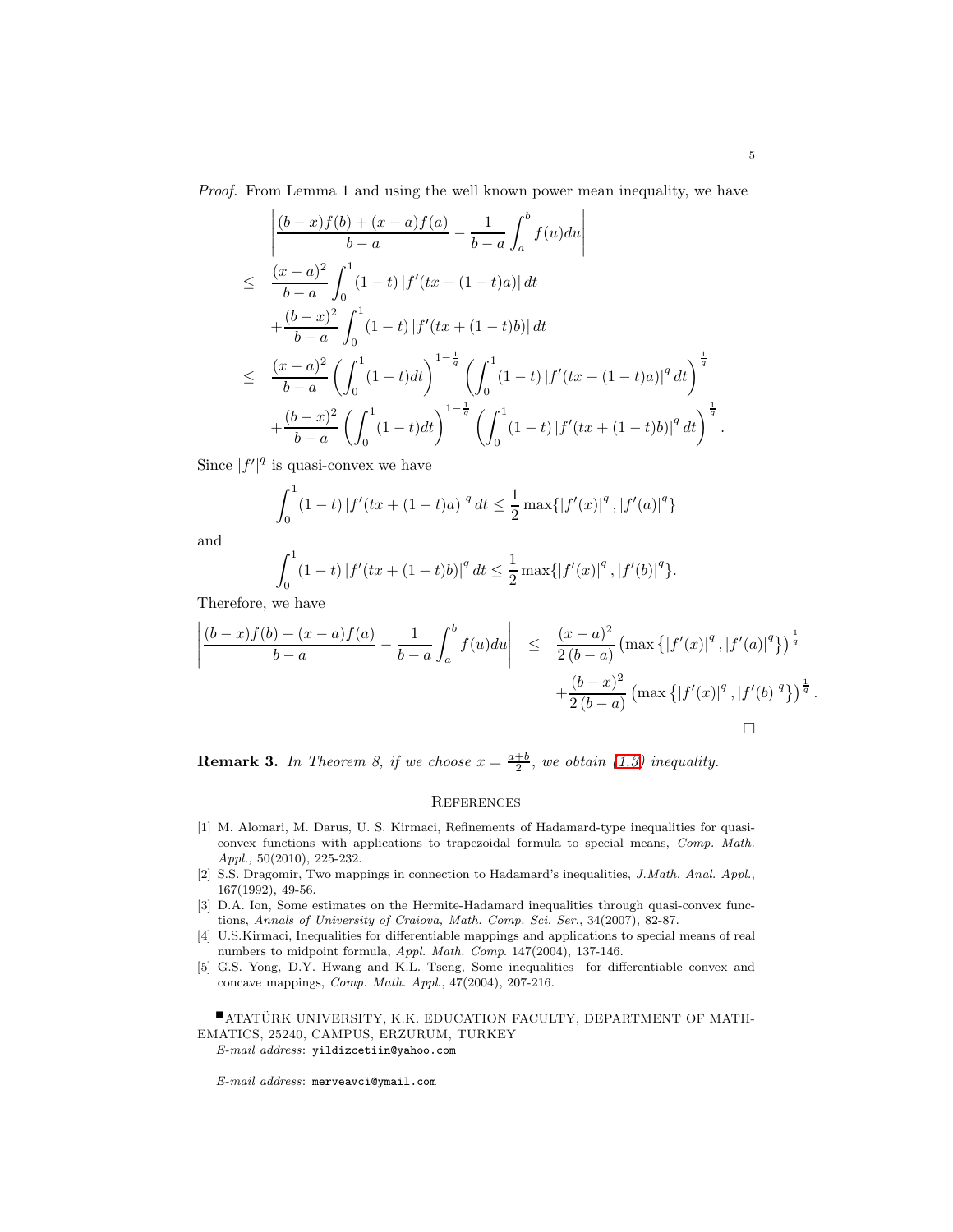Proof. From Lemma 1 and using the well known power mean inequality, we have

$$
\begin{split}\n&\left|\frac{(b-x)f(b)+(x-a)f(a)}{b-a}-\frac{1}{b-a}\int_{a}^{b}f(u)du\right| \\
&\leq \frac{(x-a)^{2}}{b-a}\int_{0}^{1}(1-t)\left|f'(tx+(1-t)a)\right|dt \\
&+\frac{(b-x)^{2}}{b-a}\int_{0}^{1}(1-t)\left|f'(tx+(1-t)b)\right|dt \\
&\leq \frac{(x-a)^{2}}{b-a}\left(\int_{0}^{1}(1-t)dt\right)^{1-\frac{1}{q}}\left(\int_{0}^{1}(1-t)\left|f'(tx+(1-t)a)\right|^{q}dt\right)^{\frac{1}{q}} \\
&+\frac{(b-x)^{2}}{b-a}\left(\int_{0}^{1}(1-t)dt\right)^{1-\frac{1}{q}}\left(\int_{0}^{1}(1-t)\left|f'(tx+(1-t)b)\right|^{q}dt\right)^{\frac{1}{q}}.\n\end{split}
$$

Since  $|f'|^q$  is quasi-convex we have

$$
\int_0^1 (1-t) |f'(tx + (1-t)a)|^q dt \le \frac{1}{2} \max\{|f'(x)|^q, |f'(a)|^q\}
$$

and

$$
\int_0^1 (1-t) |f'(tx + (1-t)b)|^q dt \le \frac{1}{2} \max\{|f'(x)|^q, |f'(b)|^q\}.
$$

Therefore, we have

$$
\left| \frac{(b-x)f(b)+(x-a)f(a)}{b-a} - \frac{1}{b-a} \int_a^b f(u) du \right| \leq \frac{(x-a)^2}{2(b-a)} \left( \max \{|f'(x)|^q, |f'(a)|^q \} \right)^{\frac{1}{q}} + \frac{(b-x)^2}{2(b-a)} \left( \max \{|f'(x)|^q, |f'(b)|^q \} \right)^{\frac{1}{q}}.
$$

**Remark 3.** In Theorem 8, if we choose  $x = \frac{a+b}{2}$ , we obtain [\(1.3\)](#page-1-2) inequality.

## **REFERENCES**

- <span id="page-4-4"></span>[1] M. Alomari, M. Darus, U. S. Kirmaci, Refinements of Hadamard-type inequalities for quasiconvex functions with applications to trapezoidal formula to special means, Comp. Math. Appl., 50(2010), 225-232.
- <span id="page-4-0"></span>[2] S.S. Dragomir, Two mappings in connection to Hadamard's inequalities, J.Math. Anal. Appl., 167(1992), 49-56.
- <span id="page-4-3"></span>[3] D.A. Ion, Some estimates on the Hermite-Hadamard inequalities through quasi-convex functions, Annals of University of Craiova, Math. Comp. Sci. Ser., 34(2007), 82-87.
- <span id="page-4-1"></span>[4] U.S.Kirmaci, Inequalities for differentiable mappings and applications to special means of real numbers to midpoint formula, Appl. Math. Comp. 147(2004), 137-146.
- <span id="page-4-2"></span>[5] G.S. Yong, D.Y. Hwang and K.L. Tseng, Some inequalities for differentiable convex and concave mappings, Comp. Math. Appl., 47(2004), 207-216.

**EXAMPLE ATATÜRK UNIVERSITY, K.K. EDUCATION FACULTY, DEPARTMENT OF MATH-**EMATICS, 25240, CAMPUS, ERZURUM, TURKEY E-mail address: yildizcetiin@yahoo.com

E-mail address: merveavci@ymail.com